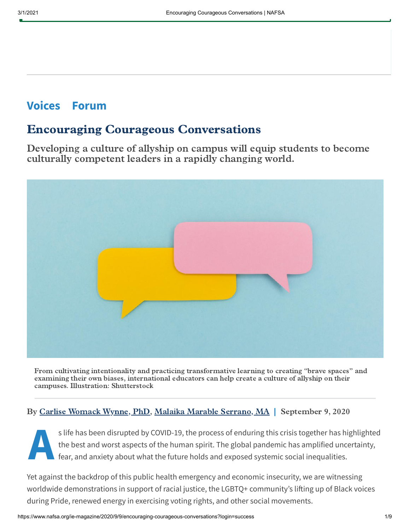## **Voices Forum**

## Encouraging Courageous Conversations

Developing a culture of allyship on campus will equip students to become culturally competent leaders in a rapidly changing world.



From cultivating intentionality and practicing transformative learning to creating "brave spaces" and examining their own biases, international educators can help create a culture of allyship on their campuses. Illustration: Shutterstock

### By Carlise [Womack](https://www.nafsa.org/people/carlise-womack-wynne-phd) Wynne, PhD, Malaika Marable [Serrano,](https://www.nafsa.org/people/malaika-marable-serrano-ma) MA | September 9, 2020

**A**<br> **A**<br> **A**<br> **f** s life has been disrupted by COVID-19, the process of enduring this crisis together has highlighted the best and worst aspects of the human spirit. The global pandemic has amplified uncertainty, fear, and anxiety about what the future holds and exposed systemic social inequalities.

Yet against the backdrop of this public health emergency and economic insecurity, we are witnessing worldwide demonstrations in support of racial justice, the LGBTQ+ community's lifting up of Black voices during Pride, renewed energy in exercising voting rights, and other social movements.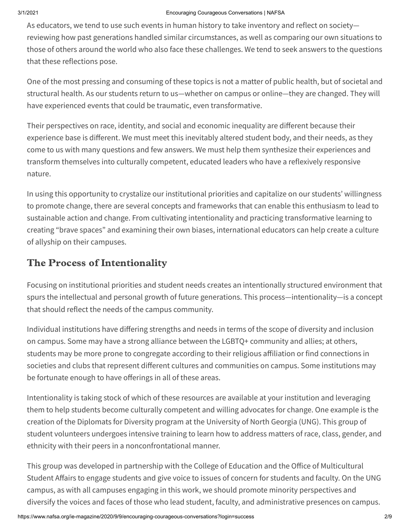#### 3/1/2021 Encouraging Courageous Conversations | NAFSA

As educators, we tend to use such events in human history to take inventory and reflect on society reviewing how past generations handled similar circumstances, as well as comparing our own situations to those of others around the world who also face these challenges. We tend to seek answers to the questions that these reflections pose.

One of the most pressing and consuming of these topics is not a matter of public health, but of societal and structural health. As our students return to us—whether on campus or online—they are changed. They will have experienced events that could be traumatic, even transformative.

Their perspectives on race, identity, and social and economic inequality are different because their experience base is different. We must meet this inevitably altered student body, and their needs, as they come to us with many questions and few answers. We must help them synthesize their experiences and transform themselves into culturally competent, educated leaders who have a reflexively responsive nature.

In using this opportunity to crystalize our institutional priorities and capitalize on our students' willingness to promote change, there are several concepts and frameworks that can enable this enthusiasm to lead to sustainable action and change. From cultivating intentionality and practicing transformative learning to creating "brave spaces" and examining their own biases, international educators can help create a culture of allyship on their campuses.

### The Process of Intentionality

Focusing on institutional priorities and student needs creates an intentionally structured environment that spurs the intellectual and personal growth of future generations. This process—intentionality—is a concept that should reflect the needs of the campus community.

Individual institutions have differing strengths and needs in terms of the scope of diversity and inclusion on campus. Some may have a strong alliance between the LGBTQ+ community and allies; at others, students may be more prone to congregate according to their religious affiliation or find connections in societies and clubs that represent different cultures and communities on campus. Some institutions may be fortunate enough to have offerings in all of these areas.

Intentionality is taking stock of which of these resources are available at your institution and leveraging them to help students become culturally competent and willing advocates for change. One example is the creation of the Diplomats for Diversity program at the University of North Georgia (UNG). This group of student volunteers undergoes intensive training to learn how to address matters of race, class, gender, and ethnicity with their peers in a nonconfrontational manner.

This group was developed in partnership with the College of Education and the Office of Multicultural Student Affairs to engage students and give voice to issues of concern for students and faculty. On the UNG campus, as with all campuses engaging in this work, we should promote minority perspectives and diversify the voices and faces of those who lead student, faculty, and administrative presences on campus.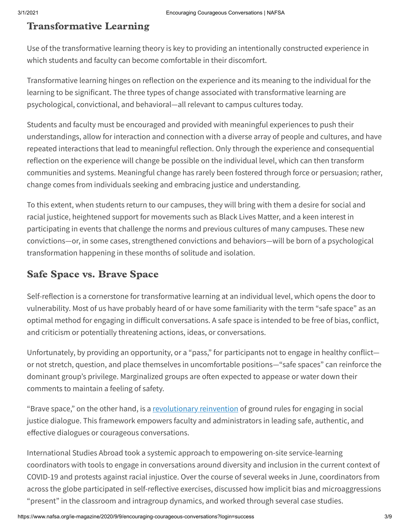## Transformative Learning

Use of the transformative learning theory is key to providing an intentionally constructed experience in which students and faculty can become comfortable in their discomfort.

Transformative learning hinges on reflection on the experience and its meaning to the individual for the learning to be significant. The three types of change associated with transformative learning are psychological, convictional, and behavioral—all relevant to campus cultures today.

Students and faculty must be encouraged and provided with meaningful experiences to push their understandings, allow for interaction and connection with a diverse array of people and cultures, and have repeated interactions that lead to meaningful reflection. Only through the experience and consequential reflection on the experience will change be possible on the individual level, which can then transform communities and systems. Meaningful change has rarely been fostered through force or persuasion; rather, change comes from individuals seeking and embracing justice and understanding.

To this extent, when students return to our campuses, they will bring with them a desire for social and racial justice, heightened support for movements such as Black Lives Matter, and a keen interest in participating in events that challenge the norms and previous cultures of many campuses. These new convictions—or, in some cases, strengthened convictions and behaviors—will be born of a psychological transformation happening in these months of solitude and isolation.

## Safe Space vs. Brave Space

Self-reflection is a cornerstone for transformative learning at an individual level, which opens the door to vulnerability. Most of us have probably heard of or have some familiarity with the term "safe space" as an optimal method for engaging in difficult conversations. A safe space is intended to be free of bias, conflict, and criticism or potentially threatening actions, ideas, or conversations.

Unfortunately, by providing an opportunity, or a "pass," for participants not to engage in healthy conflict or not stretch, question, and place themselves in uncomfortable positions—"safe spaces" can reinforce the dominant group's privilege. Marginalized groups are often expected to appease or water down their comments to maintain a feeling of safety.

"Brave space," on the other hand, is a [revolutionary reinvention](https://www.amazon.com/Art-Effective-Facilitation-Reflections-co-published/dp/1579229743) of ground rules for engaging in social justice dialogue. This framework empowers faculty and administrators in leading safe, authentic, and effective dialogues or courageous conversations.

International Studies Abroad took a systemic approach to empowering on-site service-learning coordinators with tools to engage in conversations around diversity and inclusion in the current context of COVID-19 and protests against racial injustice. Over the course of several weeks in June, coordinators from across the globe participated in self-reflective exercises, discussed how implicit bias and microaggressions "present" in the classroom and intragroup dynamics, and worked through several case studies.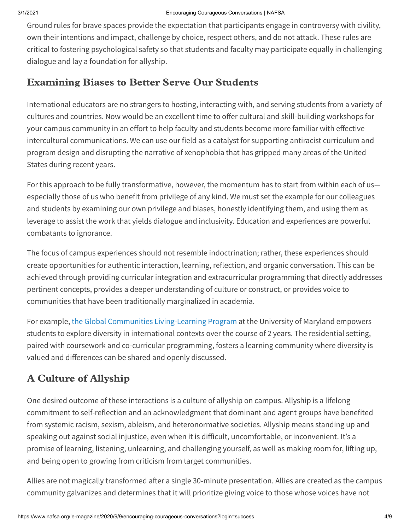Ground rules for brave spaces provide the expectation that participants engage in controversy with civility, own their intentions and impact, challenge by choice, respect others, and do not attack. These rules are critical to fostering psychological safety so that students and faculty may participate equally in challenging dialogue and lay a foundation for allyship.

### Examining Biases to Better Serve Our Students

International educators are no strangers to hosting, interacting with, and serving students from a variety of cultures and countries. Now would be an excellent time to offer cultural and skill-building workshops for your campus community in an effort to help faculty and students become more familiar with effective intercultural communications. We can use our field as a catalyst for supporting antiracist curriculum and program design and disrupting the narrative of xenophobia that has gripped many areas of the United States during recent years.

For this approach to be fully transformative, however, the momentum has to start from within each of us especially those of us who benefit from privilege of any kind. We must set the example for our colleagues and students by examining our own privilege and biases, honestly identifying them, and using them as leverage to assist the work that yields dialogue and inclusivity. Education and experiences are powerful combatants to ignorance.

The focus of campus experiences should not resemble indoctrination; rather, these experiences should create opportunities for authentic interaction, learning, reflection, and organic conversation. This can be achieved through providing curricular integration and extracurricular programming that directly addresses pertinent concepts, provides a deeper understanding of culture or construct, or provides voice to communities that have been traditionally marginalized in academia.

For example, the Global Communities [Living-Learning](https://globalcommunities.umd.edu/) Program at the University of Maryland empowers students to explore diversity in international contexts over the course of 2 years. The residential setting, paired with coursework and co-curricular programming, fosters a learning community where diversity is valued and differences can be shared and openly discussed.

## A Culture of Allyship

One desired outcome of these interactions is a culture of allyship on campus. Allyship is a lifelong commitment to self-reflection and an acknowledgment that dominant and agent groups have benefited from systemic racism, sexism, ableism, and heteronormative societies. Allyship means standing up and speaking out against social injustice, even when it is difficult, uncomfortable, or inconvenient. It's a promise of learning, listening, unlearning, and challenging yourself, as well as making room for, lifting up, and being open to growing from criticism from target communities.

Allies are not magically transformed after a single 30-minute presentation. Allies are created as the campus community galvanizes and determines that it will prioritize giving voice to those whose voices have not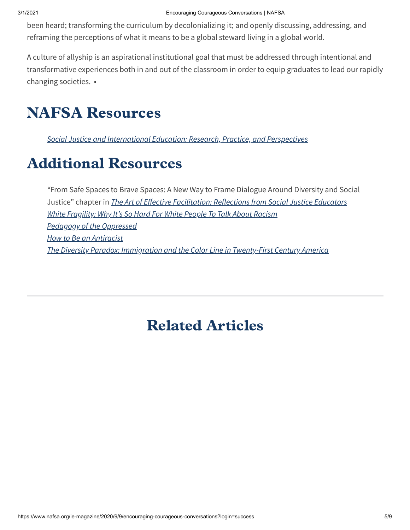been heard; transforming the curriculum by decolonializing it; and openly discussing, addressing, and reframing the perceptions of what it means to be a global steward living in a global world.

A culture of allyship is an aspirational institutional goal that must be addressed through intentional and transformative experiences both in and out of the classroom in order to equip graduates to lead our rapidly changing societies. •

# NAFSA Resources

Social Justice and [International](https://shop.nafsa.org/detail.aspx?id=2073) Education: Research, Practice, and Perspectives

# Additional Resources

"From Safe Spaces to Brave Spaces: A New Way to Frame Dialogue Around Diversity and Social Justice" chapter in *The Art of Effective [Facilitation:](https://www.amazon.com/Art-Effective-Facilitation-Reflections-co-published/dp/1579229743) Reflections from Social Justice Educators* White Fragility: Why It's So Hard [For White](https://www.robindiangelo.com/publications/) People To Talk About Racism Pedagogy of the [Oppressed](https://www.amazon.com/Pedagogy-Oppressed-Anniversary-Paulo-Freire/dp/0826412769) How to Be an [Antiracist](https://www.ibramxkendi.com/how-to-be-an-antiracist-1) The Diversity Paradox: [Immigration](https://www.amazon.com/Diversity-Paradox-Immigration-Twenty-First-Century/dp/0871545136) and the Color Line in Twenty-First Century America

# Related Articles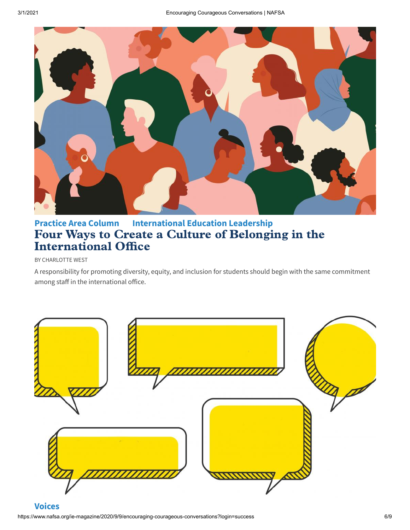

## **Practice Area Column International Education Leadership** Four Ways to Create a Culture of Belonging in the **[International](https://www.nafsa.org/ie-magazine/2020/8/4/four-ways-create-culture-belonging-international-office) Office**

#### BY CHARLOTTE WEST

A responsibility for promoting diversity, equity, and inclusion for students should begin with the same commitment among staff in the international office.

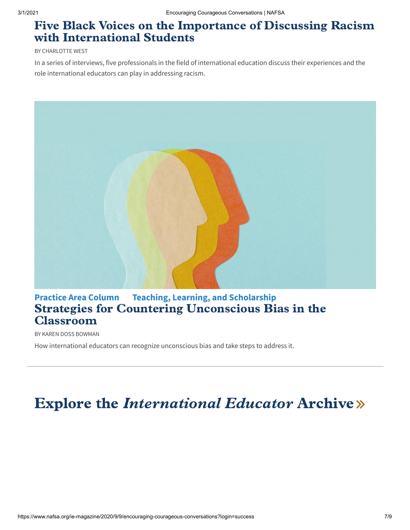## Five Black Voices on the Importance of Discussing Racism [with International](https://www.nafsa.org/ie-magazine/2020/8/4/five-black-voices-importance-discussing-racism-international-students) Students

#### BY CHARLOTTE WEST

In a series of interviews, five professionals in the field of international education discuss their experiences and the role international educators can play in addressing racism.



## **Practice Area Column Teaching, Learning, and Scholarship** Strategies for Countering Unconscious Bias in the [Classroom](https://www.nafsa.org/ie-magazine/2020/8/4/strategies-countering-unconscious-bias-classroom)

BY KAREN DOSS BOWMAN

How international educators can recognize unconscious bias and take steps to address it.

# Explore the *[International](https://www.nafsa.org/ie-magazine/issue/archive) Educator* Archive »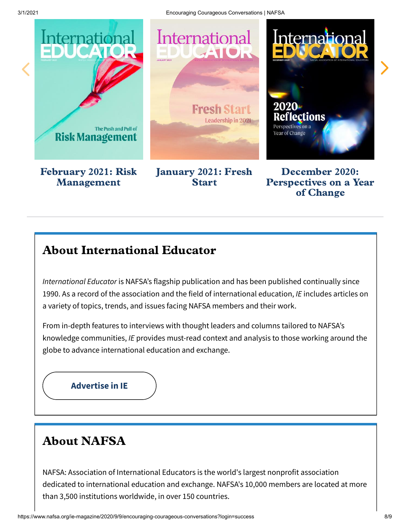

## About International Educator

International Educator is NAFSA's flagship publication and has been published continually since 1990. As a record of the association and the field of international education, IE includes articles on a variety of topics, trends, and issues facing NAFSA members and their work.

From in-depth features to interviews with thought leaders and columns tailored to NAFSA's knowledge communities, IE provides must-read context and analysis to those working around the globe to advance international education and exchange.

**[Advertise](https://www.officialmediaguide.com/nafsa/promo-2-2/) in IE**

## About NAFSA

NAFSA: Association of International Educators is the world's largest nonprofit association dedicated to international education and exchange. NAFSA's 10,000 members are located at more than 3,500 institutions worldwide, in over 150 countries.